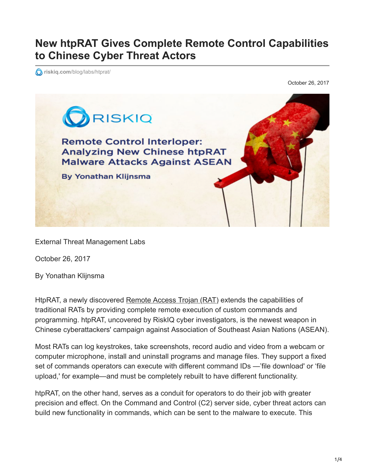## **New htpRAT Gives Complete Remote Control Capabilities to Chinese Cyber Threat Actors**

**riskiq.com**[/blog/labs/htprat/](https://www.riskiq.com/blog/labs/htprat/)

October 26, 2017



External Threat Management Labs

October 26, 2017

By Yonathan Klijnsma

HtpRAT, a newly discovered [Remote Access Trojan \(RAT\)](https://www.riskiq.com/research/htprat/) extends the capabilities of traditional RATs by providing complete remote execution of custom commands and programming. htpRAT, uncovered by RiskIQ cyber investigators, is the newest weapon in Chinese cyberattackers' campaign against Association of Southeast Asian Nations (ASEAN).

Most RATs can log keystrokes, take screenshots, record audio and video from a webcam or computer microphone, install and uninstall programs and manage files. They support a fixed set of commands operators can execute with different command IDs —'file download' or 'file upload,' for example—and must be completely rebuilt to have different functionality.

htpRAT, on the other hand, serves as a conduit for operators to do their job with greater precision and effect. On the Command and Control (C2) server side, cyber threat actors can build new functionality in commands, which can be sent to the malware to execute. This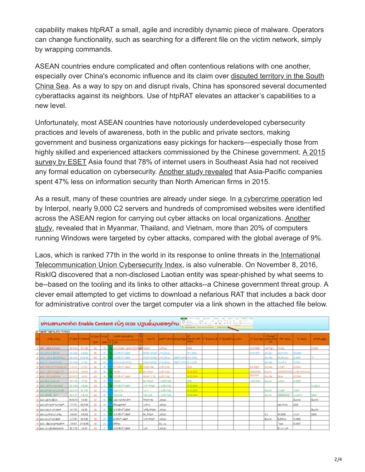capability makes htpRAT a small, agile and incredibly dynamic piece of malware. Operators can change functionality, such as searching for a different file on the victim network, simply by wrapping commands.

ASEAN countries endure complicated and often contentious relations with one another, [especially over China's economic influence and its claim over disputed territory in the South](https://www.forbes.com/sites/ralphjennings/2017/10/05/vietnam-is-becoming-asias-most-aggressive-maritime-nation-after-china/#3d1c964a737e) China Sea. As a way to spy on and disrupt rivals, China has sponsored several documented cyberattacks against its neighbors. Use of htpRAT elevates an attacker's capabilities to a new level.

Unfortunately, most ASEAN countries have notoriously underdeveloped cybersecurity practices and levels of awareness, both in the public and private sectors, making government and business organizations easy pickings for hackers—especially those from [highly skilled and experienced attackers commissioned by the Chinese government. A 2015](https://www.eset.com/int/about/newsroom/company/eset-report-huge-gap-in-cyber-security-knowledge-leaves-asia-vulnerable/) survey by ESET Asia found that 78% of internet users in Southeast Asia had not received any formal education on cybersecurity. [Another study revealed](https://www.beazley.com/news/2016/cyber_security_a_growing_concern_for_singapore_smes.html) that Asia-Pacific companies spent 47% less on information security than North American firms in 2015.

As a result, many of these countries are already under siege. In [a cybercrime operation](http://www.computerweekly.com/news/450417440/Interpol-uncovers-nearly-9000-C2-servers-in-ASEAN) led by Interpol, nearly 9,000 C2 servers and hundreds of compromised websites were identified [across the ASEAN region for carrying out cyber attacks on local organizations. Another](https://www.cfoinnovation.com/story/13524/report-asian-countries-are-most-vulnerable-malware?destination?destination) study, revealed that in Myanmar, Thailand, and Vietnam, more than 20% of computers running Windows were targeted by cyber attacks, compared with the global average of 9%.

[Laos, which is ranked 77th in the world in its response to online threats in the International](https://www.itu.int/dms_pub/itu-d/opb/str/D-STR-GCI.01-2017-PDF-E.pdf) Telecommunication Union Cybersecurity Index, is also vulnerable. On November 8, 2016, RiskIQ discovered that a non-disclosed Laotian entity was spear-phished by what seems to be--based on the tooling and its links to other attacks--a Chinese government threat group. A clever email attempted to get victims to download a nefarious RAT that includes a back door for administrative control over the target computer via a link shown in the attached file below.

|                               |                              | ທ່ານສາມາດກິດ Enable Content ເບິ່ງ ແລະ ປຽນຂໍມຸນຂອງຕິນ<br>27 November 19 North State Law Road and Art 21 November 11<br><b>Books Earths</b> |                  |            |                  |  |                                    |  |                          |                 |                       |            |                                                                    |  |  |             |                |                                    |                        |                   |
|-------------------------------|------------------------------|-------------------------------------------------------------------------------------------------------------------------------------------|------------------|------------|------------------|--|------------------------------------|--|--------------------------|-----------------|-----------------------|------------|--------------------------------------------------------------------|--|--|-------------|----------------|------------------------------------|------------------------|-------------------|
| to "MadE" Madrid Airs "Wedth. |                              |                                                                                                                                           |                  |            |                  |  |                                    |  |                          |                 |                       |            |                                                                    |  |  |             |                |                                    |                        |                   |
|                               | st Abcostos                  |                                                                                                                                           | AT Ase of stream | 50646 5066 |                  |  | <b>ZIPER SESEIGNSIC</b>            |  | has Call                 |                 |                       |            | MADConerl OrderAud ArcaeoAlts   eTA availableTA available viuscess |  |  |             | <b>S'écode</b> | +" Automas's etAcolA+E   +E-Torus- | TO SIMBOR              | <b>SIPSE LOCK</b> |
|                               |                              |                                                                                                                                           |                  | 2015       | 2015   st   Adot |  |                                    |  |                          |                 |                       |            |                                                                    |  |  | <b>LEST</b> |                |                                    |                        |                   |
|                               | 1 abs adams esses            | 16.12.61                                                                                                                                  | 10.7.00          | 54         | se i             |  | asta with a superceipt of the way. |  |                          | without         |                       | 2014       |                                                                    |  |  | 22.8.1990   | NATION.        | 03/85                              |                        | 1.2010            |
|                               | 2 Boss Woolly Aman           | 12.260                                                                                                                                    | 110.80           | 55         | 55               |  | <b>NINEWOODS</b>                   |  | Weddingware Limateras    |                 |                       | 19.7.2012  |                                                                    |  |  | 14.10.1991  | 447884         | fails different                    | 10.2008                |                   |
|                               | 3 BON - SM F AP EVAL 6       |                                                                                                                                           | 18.3.62 10.10.80 | 53         | 55.              |  | <b>SIMBOTIGLIA</b>                 |  | What WeAs Limitizing     |                 | 008/F & VPI 25.2.2015 |            |                                                                    |  |  |             | AlexAn         | AcAPosts                           | 8,2009                 |                   |
|                               | 4 BOS PHIS EXPANSE           | 23.9.64                                                                                                                                   | 1183             | St.        | ×                |  | obiscuo Escrissob                  |  | stress steam and introv- |                 | 006/F & VPI 25.2.2015 |            |                                                                    |  |  |             | Aleksin.       | 568Kb                              | 3,2010                 |                   |
|                               | S. BOS WELLS KAVALLOCK       | 111.73                                                                                                                                    | 3357             | 42         | <b>18</b>        |  | NUMBER SAFE                        |  | <b>U WAS LAT</b>         | wiferscha       |                       | 2014       |                                                                    |  |  | 5.6.2009    | Absolute       | <b>PARK</b>                        | 8.2009                 |                   |
|                               | 6 BON - GOP POISER RP        | 22 10 72                                                                                                                                  | 110.93           | 43         |                  |  | 50006                              |  | <b>Vol.555pm</b>         | <b>WIENTAAL</b> |                       | 14.10.2014 |                                                                    |  |  | 13/10/2004  | Aletritó       | V20120E12/20                       | <b>Locald websites</b> |                   |
|                               | 7 BON ACABINDAD              | 25.10.72                                                                                                                                  | 14.01            | 43         | M                |  | WWEIGOWAI+                         |  | WANTED                   | withcake        |                       | 14.30.2014 |                                                                    |  |  | 5/6/2009    | Aresta         | Asro                               | 12.2010                |                   |
|                               | <b>B.</b> Base Musike Walker | 13.7.76                                                                                                                                   | 17.02            | 39         | n                |  | <b>BISSONA</b>                     |  | <b>MALINDRIAN</b>        | -wifectaki      |                       | 2014       |                                                                    |  |  | .95200      | Aletotó        | 10707                              | 4.2009                 |                   |
|                               | 9 Adre - Williams Strategi   | 25.11.82                                                                                                                                  | 110.06           | 33         |                  |  | <b>IS WHEN COLLA</b>               |  | 1509, 157609             | . wifectoki     |                       | 14.10.2014 |                                                                    |  |  |             |                |                                    |                        | <b>Southern</b>   |
|                               | 10 Both (6" A6 West of SA)   | 28.8.73                                                                                                                                   | 15.7.93          | 42         |                  |  | 5009%                              |  | 5656                     | vs išsetski     |                       | 14.10.2014 |                                                                    |  |  |             | Aliento        | <b>MIEK</b>                        | 12011                  |                   |
|                               | 11 Book AprAge, rearm        | <b>15475</b>                                                                                                                              | 110.99           | 40.        | w.               |  | <b>Beschüte</b>                    |  | nascesk                  | -wifectaki      |                       | M. 30.2014 |                                                                    |  |  |             | ALENAS         | 2009012012                         | ついがある                  | 2006              |
|                               | 12 NOW WAS ARMS              | 16, 10, 73                                                                                                                                | 14.05            | 42         | m.               |  | ARCORPORA                          |  | 157609.86                | 68124           |                       |            |                                                                    |  |  |             |                |                                    | ALOUN                  | Alexas            |
|                               | 13 80% SPS000 Painting       | 7.7.73                                                                                                                                    | 25.5.99          | 42         |                  |  | Arresponse                         |  | 1509.60                  | advasc          |                       |            |                                                                    |  |  |             |                | Note-total                         | 2012                   |                   |
|                               | 14 80% (46 F 35 6969         | 8.7.73                                                                                                                                    | 14.05            | 36         | v.               |  | S.WESPTSAM                         |  | warm show                | 58526           |                       |            |                                                                    |  |  |             |                |                                    |                        | Aizons            |
|                               | TS   40% SUVA 456% JAPAN     | 4.6.03                                                                                                                                    | 110.09           | 32         |                  |  | N.WHO/COARE                        |  | 16,55%                   | 38124           |                       |            |                                                                    |  |  |             | 5.1            | 10.2009                            | 36-b <sup>M</sup>      | 2009              |
|                               | 16 Adro Ave.d - StroAA+      | 2376                                                                                                                                      | 10.9.90          | 39         | 25               |  | every new                          |  | 150816768                | 38526           |                       |            |                                                                    |  |  |             | Alvesono       | A.EV63                             | \$2008                 |                   |
|                               | 17 NOV ANGOLIA NAME          | 3.5.67                                                                                                                                    | 27.10.85         | 48         |                  |  | ANEXIS                             |  |                          | \$6,59          |                       |            |                                                                    |  |  |             |                | 1666                               | 8.2007                 |                   |
|                               | 18 BON A-MASABRASHOP         |                                                                                                                                           | 15.7.75 14.07    | 40         |                  |  | W.W. ENTOWN                        |  | 500                      | 69124           |                       |            |                                                                    |  |  |             |                | AT 241509                          |                        |                   |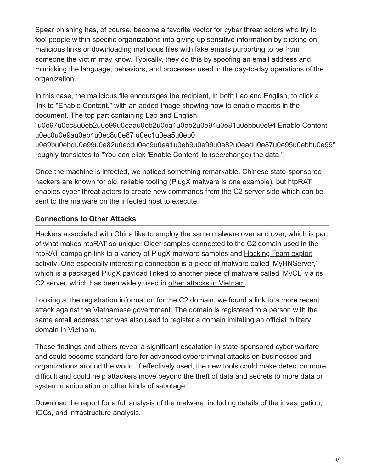[Spear phishing](https://www.infosecurity-magazine.com/news/criminals-atlantic-monthly/) has, of course, become a favorite vector for cyber threat actors who try to fool people within specific organizations into giving up sensitive information by clicking on malicious links or downloading malicious files with fake emails purporting to be from someone the victim may know. Typically, they do this by spoofing an email address and mimicking the language, behaviors, and processes used in the day-to-day operations of the organization.

In this case, the malicious file encourages the recipient, in both Lao and English, to click a link to "Enable Content," with an added image showing how to enable macros in the document. The top part containing Lao and English

"u0e97u0ec8u0eb2u0e99u0eaau0eb2u0ea1u0eb2u0e94u0e81u0ebbu0e94 Enable Content u0ec0u0e9au0eb4u0ec8u0e87 u0ec1u0ea5u0eb0

u0e9bu0ebdu0e99u0e82u0ecdu0ec9u0ea1u0eb9u0e99u0e82u0eadu0e87u0e95u0ebbu0e99" roughly translates to "You can click 'Enable Content' to (see/change) the data."

Once the machine is infected, we noticed something remarkable. Chinese state-sponsored hackers are known for old, reliable tooling (PlugX malware is one example), but htpRAT enables cyber threat actors to create new commands from the C2 server side which can be sent to the malware on the infected host to execute.

## **Connections to Other Attacks**

Hackers associated with China like to employ the same malware over and over, which is part of what makes htpRAT so unique. Older samples connected to the C2 domain used in the [htpRAT campaign link to a variety of PlugX malware samples and Hacking Team exploit](https://paper.seebug.org/papers/APT/APT_CyberCriminal_Campagin/2015/Aug.10.The_Italian_Connection_An_analysis_of_exploit_supply_chains_and_digital_quartermasters/HTExploitTelemetry.pdf) activity. One especially interesting connection is a piece of malware called 'MyHNServer,' which is a packaged PlugX payload linked to another piece of malware called 'MyCL' via its C2 server, which has been widely used in [other attacks in Vietnam.](http://security.bkav.com/home/-/blogs/malware-attacking-vietnam-airlines-appears-in-many-other-agenci-1/normal?p_p_auth=DHFn7deT)

Looking at the registration information for the C2 domain, we found a link to a more recent attack against the Vietnamese [government](http://e.gov.vn/theo-doi-ngan-chan-ket-noi-va-xoa-cac-tap-tin-chua-ma-doc-a-NewsDetails-37486-14-186.html). The domain is registered to a person with the same email address that was also used to register a domain imitating an official military domain in Vietnam.

These findings and others reveal a significant escalation in state-sponsored cyber warfare and could become standard fare for advanced cybercriminal attacks on businesses and organizations around the world. If effectively used, the new tools could make detection more difficult and could help attackers move beyond the theft of data and secrets to more data or system manipulation or other kinds of sabotage.

[Download the report](https://www.riskiq.com/research/htprat/) for a full analysis of the malware, including details of the investigation, IOCs, and infrastructure analysis.